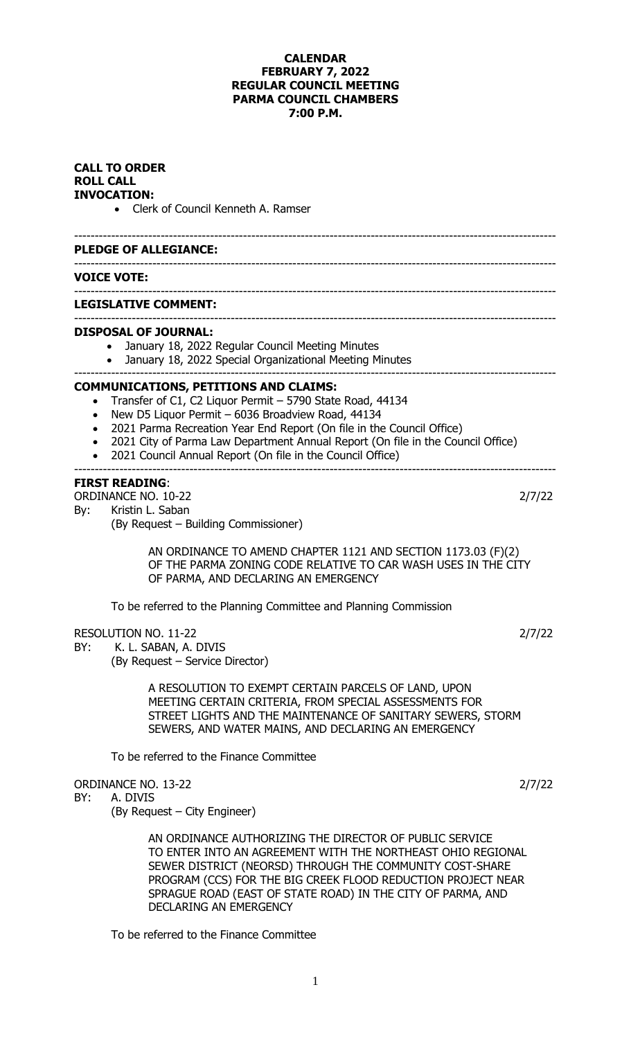## **CALENDAR FEBRUARY 7, 2022 REGULAR COUNCIL MEETING PARMA COUNCIL CHAMBERS 7:00 P.M.**

| <b>CALL TO ORDER</b><br><b>ROLL CALL</b><br><b>INVOCATION:</b><br>• Clerk of Council Kenneth A. Ramser |                                                                                                                                                                                                                                                                                                                                                                                          |        |  |  |
|--------------------------------------------------------------------------------------------------------|------------------------------------------------------------------------------------------------------------------------------------------------------------------------------------------------------------------------------------------------------------------------------------------------------------------------------------------------------------------------------------------|--------|--|--|
|                                                                                                        | <b>PLEDGE OF ALLEGIANCE:</b>                                                                                                                                                                                                                                                                                                                                                             |        |  |  |
|                                                                                                        | <b>VOICE VOTE:</b>                                                                                                                                                                                                                                                                                                                                                                       |        |  |  |
|                                                                                                        | <b>LEGISLATIVE COMMENT:</b>                                                                                                                                                                                                                                                                                                                                                              |        |  |  |
|                                                                                                        | <b>DISPOSAL OF JOURNAL:</b><br>January 18, 2022 Regular Council Meeting Minutes<br>$\bullet$<br>• January 18, 2022 Special Organizational Meeting Minutes<br>-------------------------------------                                                                                                                                                                                       |        |  |  |
| $\bullet$                                                                                              | <b>COMMUNICATIONS, PETITIONS AND CLAIMS:</b><br>Transfer of C1, C2 Liquor Permit - 5790 State Road, 44134<br>New D5 Liquor Permit - 6036 Broadview Road, 44134<br>2021 Parma Recreation Year End Report (On file in the Council Office)<br>2021 City of Parma Law Department Annual Report (On file in the Council Office)<br>2021 Council Annual Report (On file in the Council Office) |        |  |  |
| By:                                                                                                    | <b>FIRST READING:</b><br>ORDINANCE NO. 10-22<br>Kristin L. Saban<br>(By Request - Building Commissioner)                                                                                                                                                                                                                                                                                 | 2/7/22 |  |  |
|                                                                                                        | AN ORDINANCE TO AMEND CHAPTER 1121 AND SECTION 1173.03 (F)(2)<br>OF THE PARMA ZONING CODE RELATIVE TO CAR WASH USES IN THE CITY<br>OF PARMA, AND DECLARING AN EMERGENCY                                                                                                                                                                                                                  |        |  |  |
|                                                                                                        | To be referred to the Planning Committee and Planning Commission                                                                                                                                                                                                                                                                                                                         |        |  |  |
| BY:                                                                                                    | <b>RESOLUTION NO. 11-22</b><br>K. L. SABAN, A. DIVIS<br>(By Request - Service Director)                                                                                                                                                                                                                                                                                                  | 2/7/22 |  |  |
|                                                                                                        | A RESOLUTION TO EXEMPT CERTAIN PARCELS OF LAND, UPON<br>MEETING CERTAIN CRITERIA, FROM SPECIAL ASSESSMENTS FOR<br>STREET LIGHTS AND THE MAINTENANCE OF SANITARY SEWERS, STORM<br>SEWERS, AND WATER MAINS, AND DECLARING AN EMERGENCY                                                                                                                                                     |        |  |  |
|                                                                                                        | To be referred to the Finance Committee                                                                                                                                                                                                                                                                                                                                                  |        |  |  |
| BY:                                                                                                    | ORDINANCE NO. 13-22<br>A. DIVIS<br>(By Request – City Engineer)                                                                                                                                                                                                                                                                                                                          | 2/7/22 |  |  |
|                                                                                                        | AN ORDINANCE AUTHORIZING THE DIRECTOR OF PUBLIC SERVICE<br>TO ENTER INTO AN AGREEMENT WITH THE NORTHEAST OHIO REGIONAL<br>SEWER DISTRICT (NEORSD) THROUGH THE COMMUNITY COST-SHARE<br>PROGRAM (CCS) FOR THE BIG CREEK FLOOD REDUCTION PROJECT NEAR<br>SPRAGUE ROAD (EAST OF STATE ROAD) IN THE CITY OF PARMA, AND<br><b>DECLARING AN EMERGENCY</b>                                       |        |  |  |

To be referred to the Finance Committee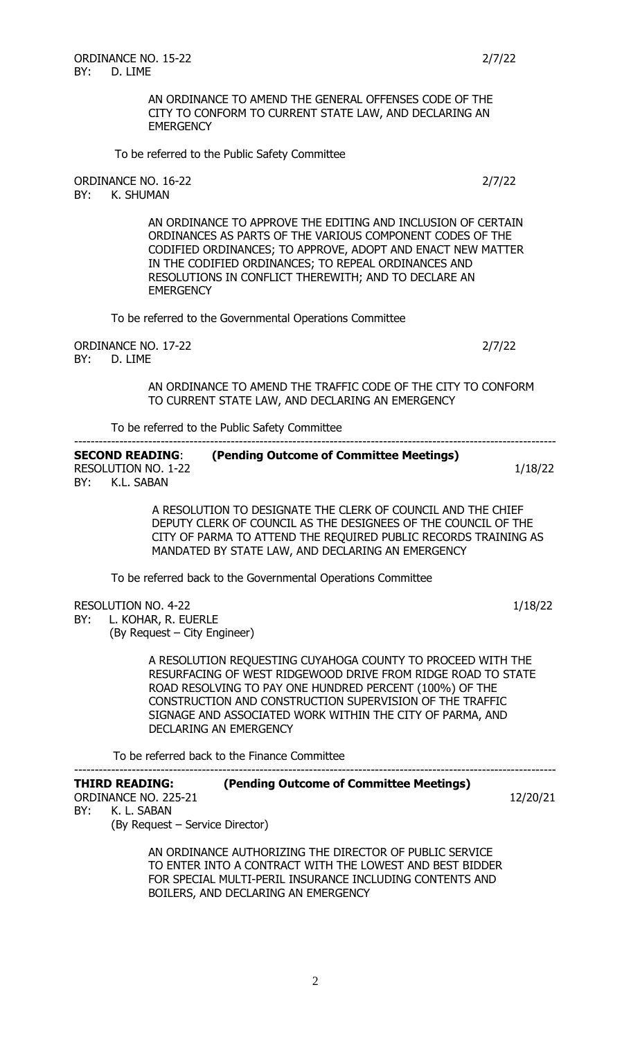AN ORDINANCE TO AMEND THE GENERAL OFFENSES CODE OF THE CITY TO CONFORM TO CURRENT STATE LAW, AND DECLARING AN **EMERGENCY** 

To be referred to the Public Safety Committee

ORDINANCE NO. 16-22 2/7/22 BY: K. SHUMAN AN ORDINANCE TO APPROVE THE EDITING AND INCLUSION OF CERTAIN ORDINANCES AS PARTS OF THE VARIOUS COMPONENT CODES OF THE CODIFIED ORDINANCES; TO APPROVE, ADOPT AND ENACT NEW MATTER IN THE CODIFIED ORDINANCES; TO REPEAL ORDINANCES AND RESOLUTIONS IN CONFLICT THEREWITH; AND TO DECLARE AN **EMERGENCY** To be referred to the Governmental Operations Committee ORDINANCE NO. 17-22 2/7/22 BY: D. LIME AN ORDINANCE TO AMEND THE TRAFFIC CODE OF THE CITY TO CONFORM TO CURRENT STATE LAW, AND DECLARING AN EMERGENCY To be referred to the Public Safety Committee --------------------------------------------------------------------------------------------------------------------- **SECOND READING**: **(Pending Outcome of Committee Meetings)** RESOLUTION NO. 1-22 1/18/22 BY: K.L. SABAN

 A RESOLUTION TO DESIGNATE THE CLERK OF COUNCIL AND THE CHIEF DEPUTY CLERK OF COUNCIL AS THE DESIGNEES OF THE COUNCIL OF THE CITY OF PARMA TO ATTEND THE REQUIRED PUBLIC RECORDS TRAINING AS MANDATED BY STATE LAW, AND DECLARING AN EMERGENCY

To be referred back to the Governmental Operations Committee

RESOLUTION NO. 4-22 1/18/22

BY: L. KOHAR, R. EUERLE (By Request – City Engineer)

> A RESOLUTION REQUESTING CUYAHOGA COUNTY TO PROCEED WITH THE RESURFACING OF WEST RIDGEWOOD DRIVE FROM RIDGE ROAD TO STATE ROAD RESOLVING TO PAY ONE HUNDRED PERCENT (100%) OF THE CONSTRUCTION AND CONSTRUCTION SUPERVISION OF THE TRAFFIC SIGNAGE AND ASSOCIATED WORK WITHIN THE CITY OF PARMA, AND DECLARING AN EMERGENCY

To be referred back to the Finance Committee

| THIRD READING:       | (Pending Outcome of Committee Meetings) |          |
|----------------------|-----------------------------------------|----------|
| ORDINANCE NO. 225-21 |                                         | 12/20/21 |

BY: K. L. SABAN

(By Request – Service Director)

AN ORDINANCE AUTHORIZING THE DIRECTOR OF PUBLIC SERVICE TO ENTER INTO A CONTRACT WITH THE LOWEST AND BEST BIDDER FOR SPECIAL MULTI-PERIL INSURANCE INCLUDING CONTENTS AND BOILERS, AND DECLARING AN EMERGENCY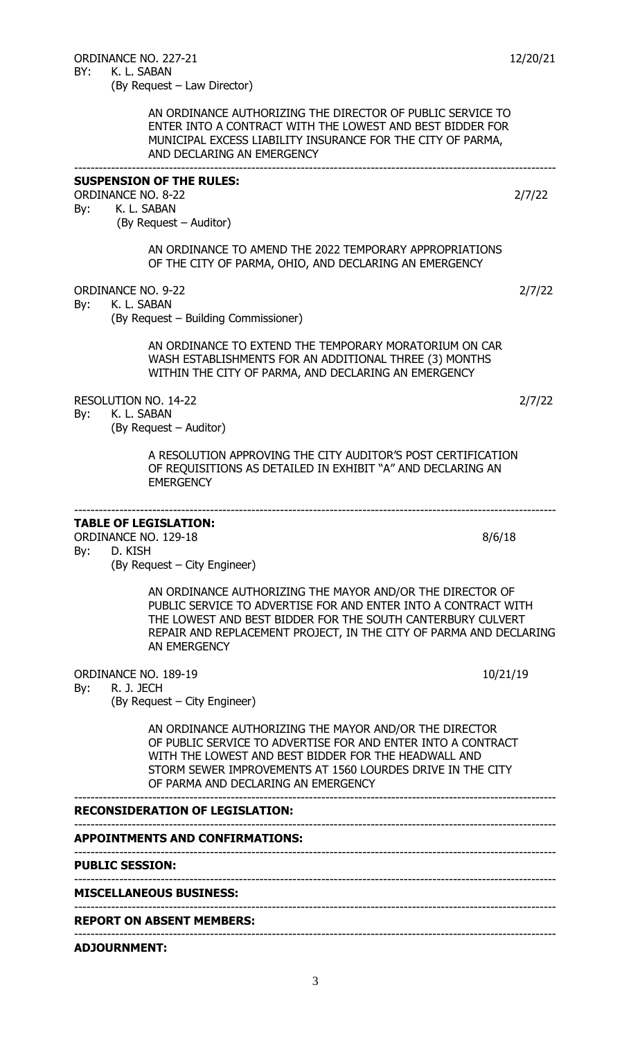|     | <b>ADJOURNMENT:</b>                                                                                                                                                                                                                                                                 |        |
|-----|-------------------------------------------------------------------------------------------------------------------------------------------------------------------------------------------------------------------------------------------------------------------------------------|--------|
|     | <b>REPORT ON ABSENT MEMBERS:</b>                                                                                                                                                                                                                                                    |        |
|     | <b>MISCELLANEOUS BUSINESS:</b>                                                                                                                                                                                                                                                      |        |
|     | <b>PUBLIC SESSION:</b><br>-----------------------------------                                                                                                                                                                                                                       |        |
|     | <b>APPOINTMENTS AND CONFIRMATIONS:</b>                                                                                                                                                                                                                                              |        |
|     | <b>RECONSIDERATION OF LEGISLATION:</b>                                                                                                                                                                                                                                              |        |
|     | AN ORDINANCE AUTHORIZING THE MAYOR AND/OR THE DIRECTOR<br>OF PUBLIC SERVICE TO ADVERTISE FOR AND ENTER INTO A CONTRACT<br>WITH THE LOWEST AND BEST BIDDER FOR THE HEADWALL AND<br>STORM SEWER IMPROVEMENTS AT 1560 LOURDES DRIVE IN THE CITY<br>OF PARMA AND DECLARING AN EMERGENCY |        |
| By: | 10/21/19<br><b>ORDINANCE NO. 189-19</b><br>R. J. JECH<br>(By Request – City Engineer)                                                                                                                                                                                               |        |
|     | AN ORDINANCE AUTHORIZING THE MAYOR AND/OR THE DIRECTOR OF<br>PUBLIC SERVICE TO ADVERTISE FOR AND ENTER INTO A CONTRACT WITH<br>THE LOWEST AND BEST BIDDER FOR THE SOUTH CANTERBURY CULVERT<br>REPAIR AND REPLACEMENT PROJECT, IN THE CITY OF PARMA AND DECLARING<br>AN EMERGENCY    |        |
| By: | <b>TABLE OF LEGISLATION:</b><br>ORDINANCE NO. 129-18<br>8/6/18<br>D. KISH<br>(By Request – City Engineer)                                                                                                                                                                           |        |
|     | A RESOLUTION APPROVING THE CITY AUDITOR'S POST CERTIFICATION<br>OF REQUISITIONS AS DETAILED IN EXHIBIT "A" AND DECLARING AN<br><b>EMERGENCY</b>                                                                                                                                     |        |
| By: | RESOLUTION NO. 14-22<br>K. L. SABAN<br>(By Request – Auditor)                                                                                                                                                                                                                       | 2/7/22 |
|     | AN ORDINANCE TO EXTEND THE TEMPORARY MORATORIUM ON CAR<br>WASH ESTABLISHMENTS FOR AN ADDITIONAL THREE (3) MONTHS<br>WITHIN THE CITY OF PARMA, AND DECLARING AN EMERGENCY                                                                                                            |        |
| By: | <b>ORDINANCE NO. 9-22</b><br>K. L. SABAN<br>(By Request – Building Commissioner)                                                                                                                                                                                                    | 2/7/22 |
|     | AN ORDINANCE TO AMEND THE 2022 TEMPORARY APPROPRIATIONS<br>OF THE CITY OF PARMA, OHIO, AND DECLARING AN EMERGENCY                                                                                                                                                                   |        |
| By: | <b>SUSPENSION OF THE RULES:</b><br><b>ORDINANCE NO. 8-22</b><br>K. L. SABAN<br>(By Request – Auditor)                                                                                                                                                                               | 2/7/22 |
|     | AN ORDINANCE AUTHORIZING THE DIRECTOR OF PUBLIC SERVICE TO<br>ENTER INTO A CONTRACT WITH THE LOWEST AND BEST BIDDER FOR<br>MUNICIPAL EXCESS LIABILITY INSURANCE FOR THE CITY OF PARMA,<br>AND DECLARING AN EMERGENCY                                                                |        |
| BY: | K. L. SABAN<br>(By Request – Law Director)                                                                                                                                                                                                                                          |        |

ORDINANCE NO. 227-21 12/20/21